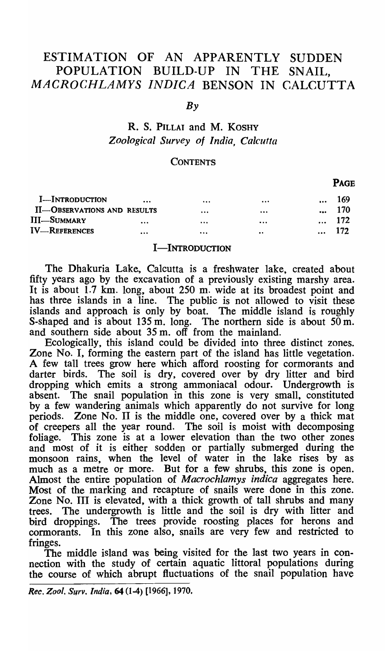# ESTIMATION OF AN APPARENTLY SUDDEN POPULATION BUILD-UP IN THE SNAIL. MACROCHLAMYS INDICA BENSON IN CALCUTTA

### *By*

# R. S. PILLAI and M. KOSHY *Zoological Survey of India, Calcutta*

### **CONTENTS**

|                             |          |          |                  |           | ------ |
|-----------------------------|----------|----------|------------------|-----------|--------|
| <b>I</b> -INTRODUCTION      | $\cdots$ | $\cdots$ | $\cdots$         | $\cdots$  | 169    |
| II-OBSERVATIONS AND RESULTS |          |          | $\cdots$         |           | 170    |
| <b>III-SUMMARY</b>          | $\cdots$ | $\cdots$ | $\cdots$         | $\ddotsc$ | 172    |
| <b>IV-REFERENCES</b>        |          | $\cdots$ | $\bullet\bullet$ | $\ddotsc$ | 172    |

## **I-INTRODUCTION**

The Dhakuria Lake, Calcutta is a freshwater lake, created about fifty years ago by the excavation of a previously existing marshy area. It is about 1.7 km. long, about 250 m. wide at its broadest point and has three islands in a line. The public is not allowed to visit these islands and approach is only by boat. The middle island is roughly S-shaped and is about  $135 \text{ m}$ , long. The northern side is about  $50 \text{ m}$ . and southern side about 35 m. off from the mainland.

Ecologically, this island could be divided into three distinct zones. Zone No. I, forming the eastern part of the island has little vegetation. A few tall trees grow here which afford roosting for cormorants and darter birds. The soil is dry, covered over by dry litter and bird dropping which emits a strong ammoniacal odour. Undergrowth is absent. The snail population in this zone is very small, constituted by a few wandering animals which apparently do not survive for long periods. Zone No. II is the middle one, covered over by a thick mat of creepers all the year round. The soil is moist with decomposing foliage. This zone is at a lower elevation than the two other zones and most of it is either sodden or partially submerged during the monsoon rains, when the level of water in the lake rises by as much as a metre or more. But for a few shrubs, this zone is open. Almost the entire population of *Macrochlamys indica* aggregates here. Most of the marking and recapture of snails were done in this zone. Zone No. III is elevated, with a thick growth of tall shrubs and many trees. The undergrowth is little and the soil is dry with litter and bird droppings. The trees provide roosting places for herons and cormorants. In this zone also, snails are very few and restricted to fringes.

The middle island was being visited for the last two years in connection with the study of certain aquatic littoral populations during the course of which abrupt fluctuations of the snail population have

*Rec. Zoot.* Surv. *India,* 64 (1-4) [1966J, 1970.

# PAGE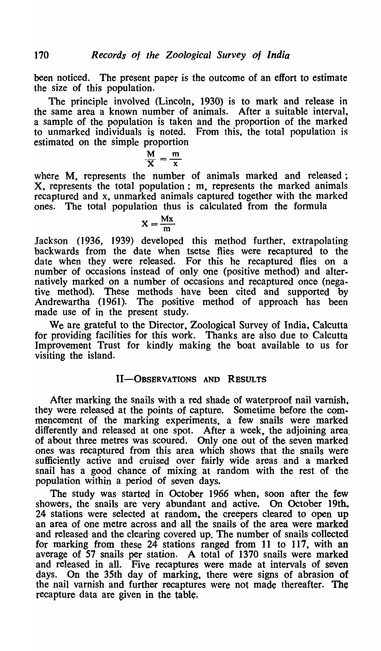been noticed. The present paper is the outcome of an effort to estimate the size of this population.

The principle involved (Lincoln, 1930) is to mark and release in the same area a known number of animals. After a suitable interval, a sample of the population is taken and the proportion of the marked to unmarked individuals is noted. From this, the total population is estimated on the simple proportion

$$
\frac{M}{X} = \frac{m}{x}
$$

where M, represents the number of animals marked and released: X, represents the total population; m, represents the marked animals recaptured and x, unmarked animals captured together with the marked ones. The total population thus is calculated from the formula

$$
X = \frac{Mx}{m}
$$

Jackson (1936, 1939) developed this method further, extrapolating backwards from the date when tsetse flies were recaptured to the date when they were released. For this he recaptured flies on a number of occasions instead of only one (positive method) and alternatively marked on a number of occasions and recaptured once (negative method). These methods have been cited and supported by Andrewartha (1961). The positive method of approach has been made use of in the present study.

We are. grateful to the Director, Zoological Survey of India, Calcutta for providing facilities for this work. Thanks are also due to Calcutta Improvement Trust for kindly making the boat available to us for visiting the island.

# II-OBSERVATIONS AND RESULTS

After marking the snails with a red shade of waterproof nail varnish, they were released at the points of capture. Sometime before the commencement of the marking experiments, a few snails were marked differently and released at one spot. After a week, the adjoining area. of about three metres was scoured. Only one out of the seven marked ones was recaptured from this area which shows that the snails were sufficiently active and cruised over fairly wide areas and a marked snail has a good chance of mixing at random with the rest of the population within a period of seven days.

The study was started in October 1966 when, soon after the few showers, the snails are very abundant and active. On October 19th, 24 stations were selected at random, the creepers cleared to open up an area of one metre across and all the snails of the area were marked and released and the clearing covered up. The number of snails collected for marking from these 24 stations ranged from 11 to 117, with an average of 57 snails per station. A total of 1370 snails were marked and released in all. Five recaptures were made at intervals of seven days. On the 35th day of marking, there were signs of abrasion of the nail varnish and further recaptures were not made thereafter. The recapture data are given in the table,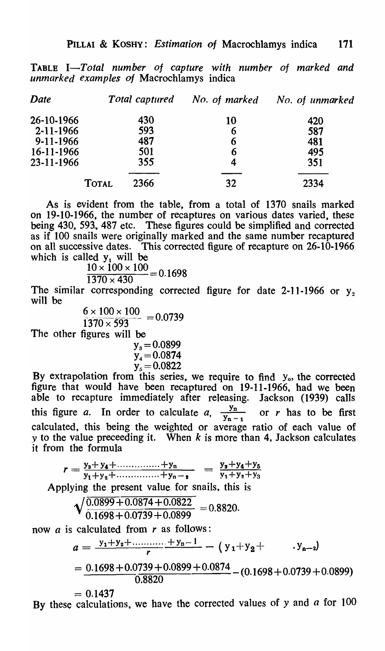TABLE *I-Total number of capture with number of marked and unmarked examples of* Macrochlamys indica

| Date            |              | Total captured | No. of marked | No. of unmarked |
|-----------------|--------------|----------------|---------------|-----------------|
| 26-10-1966      |              | 430            | 10            | 420             |
| $2 - 11 - 1966$ |              | 593            | 6             | 587             |
| $9 - 11 - 1966$ |              | 487            | 6             | 481             |
| 16-11-1966      |              | 501            | 6             | 495             |
| 23-11-1966      |              | 355            | 4             | 351             |
|                 | <b>TOTAL</b> | 2366           | 32            | 2334            |

As is evident from the table, from a total of 1370 snails marked on 19-10-1966, the number of recaptures on various dates varied, these being 430, 593., 487 etc. These figures could be simplified and corrected as if 100 snails were originally marked and the same number recaptured on all successive dates. This corrected figure of recapture on 26-10-1966 which is called  $y_1$  will be

$$
\frac{10 \times 100 \times 100}{1370 \times 430} = 0.1698
$$

The similar corresponding corrected figure for date 2-11-1966 or  $y_2$ will be

$$
\frac{6 \times 100 \times 100}{1370 \times 593} = 0.0739
$$

The other figures will be

$$
y_s = 0.0899
$$
  
\n
$$
y_4 = 0.0874
$$
  
\n
$$
y_s = 0.0822
$$

By extrapolation from this series, we require to find y<sub>o</sub>, the corrected figure that would have been recaptured on 19-11-1966, had we been able to recapture immediately after releasing. Jackson (1939) calls this figure *a*. In order to calculate *a*,  $\frac{y_n}{y_{n-1}}$  or *r* has to be first calculated, this being the weighted or average ratio of each value of y to the value preceeding it. When  $k$  is more than 4, Jackson calculates it from the formula

 $r = \frac{y_s + y_4 + \dots + y_n}{y_1 + y_2 + \dots + y_{n-2}} = \frac{y_s + y_4 + y_5}{y_1 + y_2 + y_3}$ Applying the present value for snails, this is

$$
\sqrt{\frac{0.0899 + 0.0874 + 0.0822}{0.1698 + 0.0739 + 0.0899}} = 0.8820.
$$

now  $\alpha$  is calculated from  $r$  as follows:

$$
a = \frac{y_1 + y_2 + \dots + y_n - 1}{r} - (y_1 + y_2 + \dots + y_{n-2})
$$
  
= 
$$
\frac{0.1698 + 0.0739 + 0.0899 + 0.0874}{0.8820} - (0.1698 + 0.0739 + 0.0899)
$$

 $= 0.1437$ By these calculations, we have the corrected values of  $y$  and  $a$  for 100